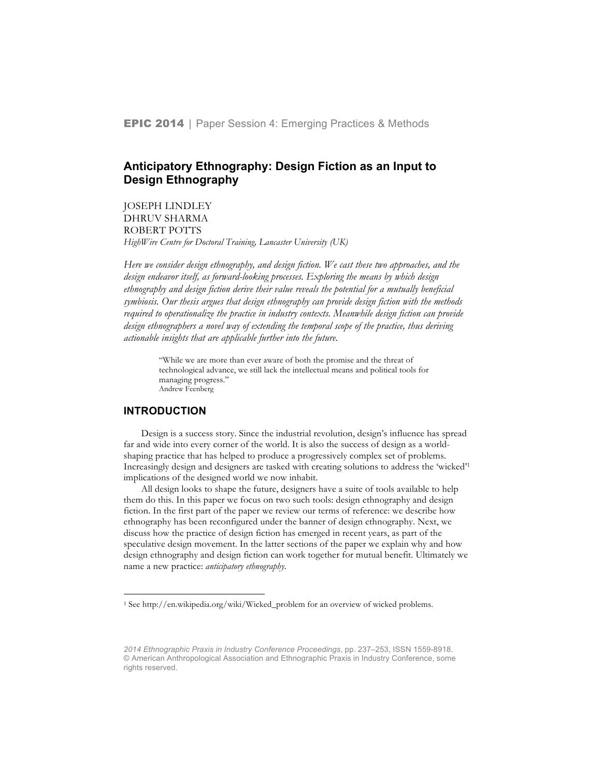# **Anticipatory Ethnography: Design Fiction as an Input to Design Ethnography**

JOSEPH LINDLEY DHRUV SHARMA ROBERT POTTS *HighWire Centre for Doctoral Training, Lancaster University (UK)*

*Here we consider design ethnography, and design fiction. We cast these two approaches, and the design endeavor itself, as forward-looking processes. Exploring the means by which design ethnography and design fiction derive their value reveals the potential for a mutually beneficial symbiosis. Our thesis argues that design ethnography can provide design fiction with the methods required to operationalize the practice in industry contexts. Meanwhile design fiction can provide design ethnographers a novel way of extending the temporal scope of the practice, thus deriving actionable insights that are applicable further into the future.*

> "While we are more than ever aware of both the promise and the threat of technological advance, we still lack the intellectual means and political tools for managing progress." Andrew Feenberg

## **INTRODUCTION**

 $\overline{a}$ 

Design is a success story. Since the industrial revolution, design's influence has spread far and wide into every corner of the world. It is also the success of design as a worldshaping practice that has helped to produce a progressively complex set of problems. Increasingly design and designers are tasked with creating solutions to address the 'wicked'1 implications of the designed world we now inhabit.

All design looks to shape the future, designers have a suite of tools available to help them do this. In this paper we focus on two such tools: design ethnography and design fiction. In the first part of the paper we review our terms of reference: we describe how ethnography has been reconfigured under the banner of design ethnography. Next, we discuss how the practice of design fiction has emerged in recent years, as part of the speculative design movement. In the latter sections of the paper we explain why and how design ethnography and design fiction can work together for mutual benefit. Ultimately we name a new practice: *anticipatory ethnography*.

*2014 Ethnographic Praxis in Industry Conference Proceedings*, pp. 237–253, ISSN 1559-8918. © American Anthropological Association and Ethnographic Praxis in Industry Conference, some rights reserved.

<sup>1</sup> See http://en.wikipedia.org/wiki/Wicked\_problem for an overview of wicked problems.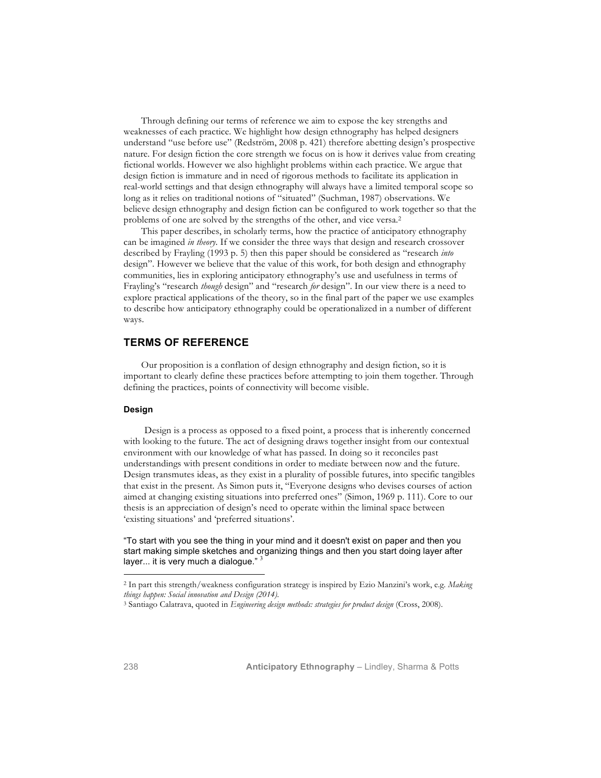Through defining our terms of reference we aim to expose the key strengths and weaknesses of each practice. We highlight how design ethnography has helped designers understand "use before use" (Redström, 2008 p. 421) therefore abetting design's prospective nature. For design fiction the core strength we focus on is how it derives value from creating fictional worlds. However we also highlight problems within each practice. We argue that design fiction is immature and in need of rigorous methods to facilitate its application in real-world settings and that design ethnography will always have a limited temporal scope so long as it relies on traditional notions of "situated" (Suchman, 1987) observations. We believe design ethnography and design fiction can be configured to work together so that the problems of one are solved by the strengths of the other, and vice versa.2

This paper describes, in scholarly terms, how the practice of anticipatory ethnography can be imagined *in theory*. If we consider the three ways that design and research crossover described by Frayling (1993 p. 5) then this paper should be considered as "research *into* design". However we believe that the value of this work, for both design and ethnography communities, lies in exploring anticipatory ethnography's use and usefulness in terms of Frayling's "research *though* design" and "research *for* design". In our view there is a need to explore practical applications of the theory, so in the final part of the paper we use examples to describe how anticipatory ethnography could be operationalized in a number of different ways.

## **TERMS OF REFERENCE**

Our proposition is a conflation of design ethnography and design fiction, so it is important to clearly define these practices before attempting to join them together. Through defining the practices, points of connectivity will become visible.

## **Design**

Design is a process as opposed to a fixed point, a process that is inherently concerned with looking to the future. The act of designing draws together insight from our contextual environment with our knowledge of what has passed. In doing so it reconciles past understandings with present conditions in order to mediate between now and the future. Design transmutes ideas, as they exist in a plurality of possible futures, into specific tangibles that exist in the present*.* As Simon puts it, "Everyone designs who devises courses of action aimed at changing existing situations into preferred ones" (Simon, 1969 p. 111). Core to our thesis is an appreciation of design's need to operate within the liminal space between 'existing situations' and 'preferred situations'.

"To start with you see the thing in your mind and it doesn't exist on paper and then you start making simple sketches and organizing things and then you start doing layer after layer... it is very much a dialogue."  $3$ 

<sup>2</sup> In part this strength/weakness configuration strategy is inspired by Ezio Manzini's work, e.g. *Making things happen: Social innovation and Design (2014)*. 3 Santiago Calatrava, quoted in *Engineering design methods: strategies for product design* (Cross, 2008).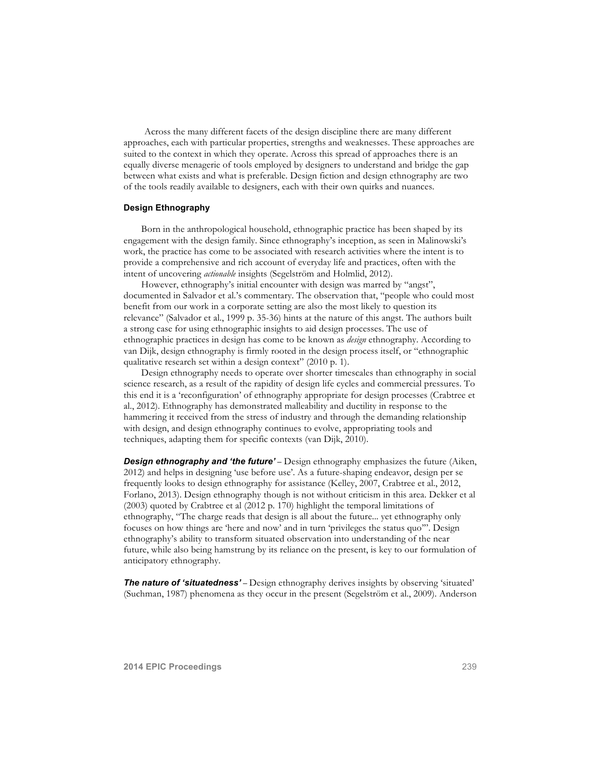Across the many different facets of the design discipline there are many different approaches, each with particular properties, strengths and weaknesses. These approaches are suited to the context in which they operate. Across this spread of approaches there is an equally diverse menagerie of tools employed by designers to understand and bridge the gap between what exists and what is preferable. Design fiction and design ethnography are two of the tools readily available to designers, each with their own quirks and nuances.

#### **Design Ethnography**

Born in the anthropological household, ethnographic practice has been shaped by its engagement with the design family. Since ethnography's inception, as seen in Malinowski's work, the practice has come to be associated with research activities where the intent is to provide a comprehensive and rich account of everyday life and practices, often with the intent of uncovering *actionable* insights (Segelström and Holmlid, 2012).

However, ethnography's initial encounter with design was marred by "angst", documented in Salvador et al.'s commentary. The observation that, "people who could most benefit from our work in a corporate setting are also the most likely to question its relevance" (Salvador et al., 1999 p. 35-36) hints at the nature of this angst. The authors built a strong case for using ethnographic insights to aid design processes. The use of ethnographic practices in design has come to be known as *design* ethnography. According to van Dijk, design ethnography is firmly rooted in the design process itself, or "ethnographic qualitative research set within a design context" (2010 p. 1).

 Design ethnography needs to operate over shorter timescales than ethnography in social science research, as a result of the rapidity of design life cycles and commercial pressures. To this end it is a 'reconfiguration' of ethnography appropriate for design processes (Crabtree et al., 2012). Ethnography has demonstrated malleability and ductility in response to the hammering it received from the stress of industry and through the demanding relationship with design, and design ethnography continues to evolve, appropriating tools and techniques, adapting them for specific contexts (van Dijk, 2010).

*Design ethnography and 'the future' –* Design ethnography emphasizes the future (Aiken, 2012) and helps in designing 'use before use'. As a future-shaping endeavor, design per se frequently looks to design ethnography for assistance (Kelley, 2007, Crabtree et al., 2012, Forlano, 2013). Design ethnography though is not without criticism in this area. Dekker et al (2003) quoted by Crabtree et al (2012 p. 170) highlight the temporal limitations of ethnography, "The charge reads that design is all about the future... yet ethnography only focuses on how things are 'here and now' and in turn 'privileges the status quo'". Design ethnography's ability to transform situated observation into understanding of the near future, while also being hamstrung by its reliance on the present, is key to our formulation of anticipatory ethnography.

*The nature of 'situatedness' –* Design ethnography derives insights by observing 'situated' (Suchman, 1987) phenomena as they occur in the present (Segelström et al., 2009). Anderson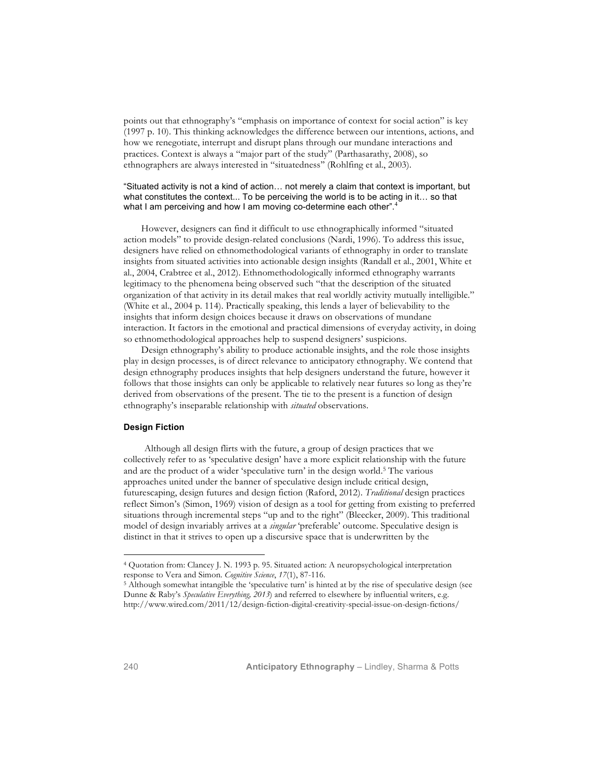points out that ethnography's "emphasis on importance of context for social action" is key (1997 p. 10). This thinking acknowledges the difference between our intentions, actions, and how we renegotiate, interrupt and disrupt plans through our mundane interactions and practices. Context is always a "major part of the study" (Parthasarathy, 2008), so ethnographers are always interested in "situatedness'' (Rohlfing et al., 2003).

## "Situated activity is not a kind of action… not merely a claim that context is important, but what constitutes the context... To be perceiving the world is to be acting in it… so that what I am perceiving and how I am moving co-determine each other". $4$

However, designers can find it difficult to use ethnographically informed "situated action models" to provide design-related conclusions (Nardi, 1996). To address this issue, designers have relied on ethnomethodological variants of ethnography in order to translate insights from situated activities into actionable design insights (Randall et al., 2001, White et al., 2004, Crabtree et al., 2012). Ethnomethodologically informed ethnography warrants legitimacy to the phenomena being observed such "that the description of the situated organization of that activity in its detail makes that real worldly activity mutually intelligible." (White et al., 2004 p. 114). Practically speaking, this lends a layer of believability to the insights that inform design choices because it draws on observations of mundane interaction. It factors in the emotional and practical dimensions of everyday activity, in doing so ethnomethodological approaches help to suspend designers' suspicions.

Design ethnography's ability to produce actionable insights, and the role those insights play in design processes, is of direct relevance to anticipatory ethnography. We contend that design ethnography produces insights that help designers understand the future, however it follows that those insights can only be applicable to relatively near futures so long as they're derived from observations of the present. The tie to the present is a function of design ethnography's inseparable relationship with *situated* observations.

## **Design Fiction**

Although all design flirts with the future, a group of design practices that we collectively refer to as 'speculative design' have a more explicit relationship with the future and are the product of a wider 'speculative turn' in the design world. <sup>5</sup> The various approaches united under the banner of speculative design include critical design, futurescaping, design futures and design fiction (Raford, 2012). *Traditional* design practices reflect Simon's (Simon, 1969) vision of design as a tool for getting from existing to preferred situations through incremental steps "up and to the right" (Bleecker, 2009). This traditional model of design invariably arrives at a *singular* 'preferable' outcome. Speculative design is distinct in that it strives to open up a discursive space that is underwritten by the

<sup>4</sup> Quotation from: Clancey J. N. 1993 p. 95. Situated action: A neuropsychological interpretation response to Vera and Simon. *Cognitive Science*, *17*(1), 87-116.

<sup>5</sup> Although somewhat intangible the 'speculative turn' is hinted at by the rise of speculative design (see Dunne & Raby's *Speculative Everything, 2013*) and referred to elsewhere by influential writers, e.g. http://www.wired.com/2011/12/design-fiction-digital-creativity-special-issue-on-design-fictions/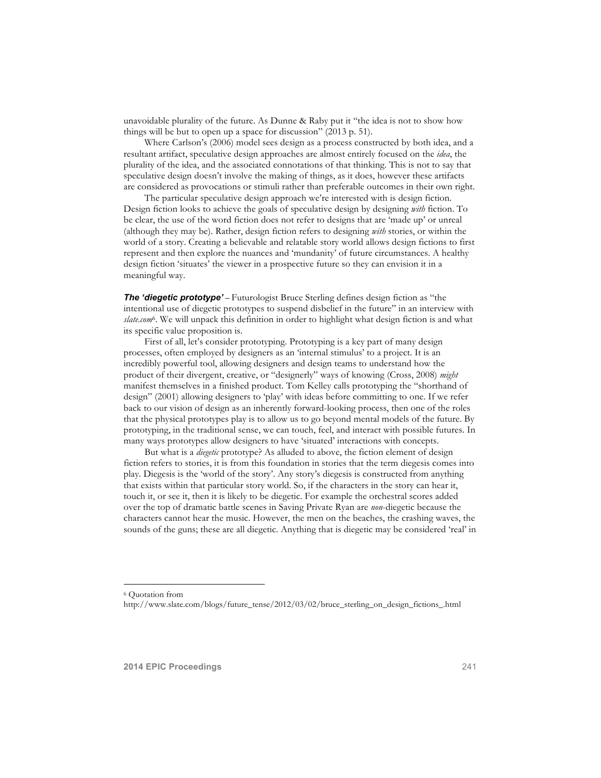unavoidable plurality of the future. As Dunne & Raby put it "the idea is not to show how things will be but to open up a space for discussion" (2013 p. 51).

Where Carlson's (2006) model sees design as a process constructed by both idea, and a resultant artifact, speculative design approaches are almost entirely focused on the *idea*, the plurality of the idea, and the associated connotations of that thinking. This is not to say that speculative design doesn't involve the making of things, as it does, however these artifacts are considered as provocations or stimuli rather than preferable outcomes in their own right.

The particular speculative design approach we're interested with is design fiction. Design fiction looks to achieve the goals of speculative design by designing *with* fiction. To be clear, the use of the word fiction does not refer to designs that are 'made up' or unreal (although they may be). Rather, design fiction refers to designing *with* stories, or within the world of a story. Creating a believable and relatable story world allows design fictions to first represent and then explore the nuances and 'mundanity' of future circumstances. A healthy design fiction 'situates' the viewer in a prospective future so they can envision it in a meaningful way.

**The 'diegetic prototype'** – Futurologist Bruce Sterling defines design fiction as "the intentional use of diegetic prototypes to suspend disbelief in the future" in an interview with *slate.com*6. We will unpack this definition in order to highlight what design fiction is and what its specific value proposition is.

First of all, let's consider prototyping. Prototyping is a key part of many design processes, often employed by designers as an 'internal stimulus' to a project. It is an incredibly powerful tool, allowing designers and design teams to understand how the product of their divergent, creative, or "designerly" ways of knowing (Cross, 2008) *might* manifest themselves in a finished product. Tom Kelley calls prototyping the "shorthand of design" (2001) allowing designers to 'play' with ideas before committing to one. If we refer back to our vision of design as an inherently forward-looking process, then one of the roles that the physical prototypes play is to allow us to go beyond mental models of the future. By prototyping, in the traditional sense, we can touch, feel, and interact with possible futures. In many ways prototypes allow designers to have 'situated' interactions with concepts.

But what is a *diegetic* prototype? As alluded to above, the fiction element of design fiction refers to stories, it is from this foundation in stories that the term diegesis comes into play. Diegesis is the 'world of the story'. Any story's diegesis is constructed from anything that exists within that particular story world. So, if the characters in the story can hear it, touch it, or see it, then it is likely to be diegetic. For example the orchestral scores added over the top of dramatic battle scenes in Saving Private Ryan are *non*-diegetic because the characters cannot hear the music. However, the men on the beaches, the crashing waves, the sounds of the guns; these are all diegetic. Anything that is diegetic may be considered 'real' in

<sup>6</sup> Quotation from

http://www.slate.com/blogs/future\_tense/2012/03/02/bruce\_sterling\_on\_design\_fictions\_.html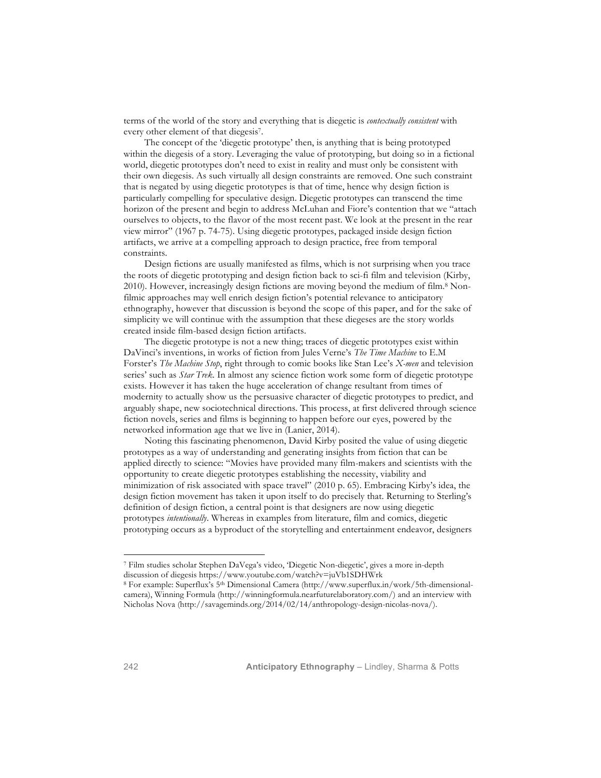terms of the world of the story and everything that is diegetic is *contextually consistent* with every other element of that diegesis7.

The concept of the 'diegetic prototype' then, is anything that is being prototyped within the diegesis of a story. Leveraging the value of prototyping, but doing so in a fictional world, diegetic prototypes don't need to exist in reality and must only be consistent with their own diegesis. As such virtually all design constraints are removed. One such constraint that is negated by using diegetic prototypes is that of time, hence why design fiction is particularly compelling for speculative design. Diegetic prototypes can transcend the time horizon of the present and begin to address McLuhan and Fiore's contention that we "attach ourselves to objects, to the flavor of the most recent past. We look at the present in the rear view mirror" (1967 p. 74-75). Using diegetic prototypes, packaged inside design fiction artifacts, we arrive at a compelling approach to design practice, free from temporal constraints.

Design fictions are usually manifested as films, which is not surprising when you trace the roots of diegetic prototyping and design fiction back to sci-fi film and television (Kirby, 2010). However, increasingly design fictions are moving beyond the medium of film.8 Nonfilmic approaches may well enrich design fiction's potential relevance to anticipatory ethnography, however that discussion is beyond the scope of this paper, and for the sake of simplicity we will continue with the assumption that these diegeses are the story worlds created inside film-based design fiction artifacts.

The diegetic prototype is not a new thing; traces of diegetic prototypes exist within DaVinci's inventions, in works of fiction from Jules Verne's *The Time Machine* to E.M Forster's *The Machine Stop*, right through to comic books like Stan Lee's *X-men* and television series' such as *Star Trek*. In almost any science fiction work some form of diegetic prototype exists. However it has taken the huge acceleration of change resultant from times of modernity to actually show us the persuasive character of diegetic prototypes to predict, and arguably shape, new sociotechnical directions. This process, at first delivered through science fiction novels, series and films is beginning to happen before our eyes, powered by the networked information age that we live in (Lanier, 2014).

Noting this fascinating phenomenon, David Kirby posited the value of using diegetic prototypes as a way of understanding and generating insights from fiction that can be applied directly to science: "Movies have provided many film-makers and scientists with the opportunity to create diegetic prototypes establishing the necessity, viability and minimization of risk associated with space travel" (2010 p. 65). Embracing Kirby's idea, the design fiction movement has taken it upon itself to do precisely that. Returning to Sterling's definition of design fiction, a central point is that designers are now using diegetic prototypes *intentionally*. Whereas in examples from literature, film and comics, diegetic prototyping occurs as a byproduct of the storytelling and entertainment endeavor, designers

<sup>7</sup> Film studies scholar Stephen DaVega's video, 'Diegetic Non-diegetic', gives a more in-depth discussion of diegesis https://www.youtube.com/watch?v=juVb1SDHWrk

<sup>8</sup> For example: Superflux's 5th Dimensional Camera (http://www.superflux.in/work/5th-dimensionalcamera), Winning Formula (http://winningformula.nearfuturelaboratory.com/) and an interview with Nicholas Nova (http://savageminds.org/2014/02/14/anthropology-design-nicolas-nova/).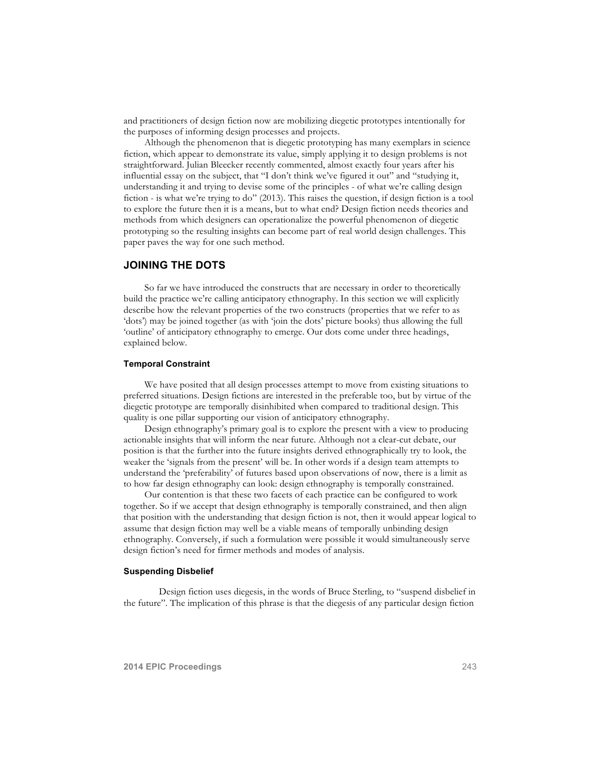and practitioners of design fiction now are mobilizing diegetic prototypes intentionally for the purposes of informing design processes and projects.

Although the phenomenon that is diegetic prototyping has many exemplars in science fiction, which appear to demonstrate its value, simply applying it to design problems is not straightforward. Julian Bleecker recently commented, almost exactly four years after his influential essay on the subject, that "I don't think we've figured it out" and "studying it, understanding it and trying to devise some of the principles - of what we're calling design fiction - is what we're trying to do" (2013). This raises the question, if design fiction is a tool to explore the future then it is a means, but to what end? Design fiction needs theories and methods from which designers can operationalize the powerful phenomenon of diegetic prototyping so the resulting insights can become part of real world design challenges. This paper paves the way for one such method.

## **JOINING THE DOTS**

So far we have introduced the constructs that are necessary in order to theoretically build the practice we're calling anticipatory ethnography. In this section we will explicitly describe how the relevant properties of the two constructs (properties that we refer to as 'dots') may be joined together (as with 'join the dots' picture books) thus allowing the full 'outline' of anticipatory ethnography to emerge. Our dots come under three headings, explained below.

## **Temporal Constraint**

We have posited that all design processes attempt to move from existing situations to preferred situations. Design fictions are interested in the preferable too, but by virtue of the diegetic prototype are temporally disinhibited when compared to traditional design. This quality is one pillar supporting our vision of anticipatory ethnography.

Design ethnography's primary goal is to explore the present with a view to producing actionable insights that will inform the near future. Although not a clear-cut debate, our position is that the further into the future insights derived ethnographically try to look, the weaker the 'signals from the present' will be. In other words if a design team attempts to understand the 'preferability' of futures based upon observations of now, there is a limit as to how far design ethnography can look: design ethnography is temporally constrained.

Our contention is that these two facets of each practice can be configured to work together. So if we accept that design ethnography is temporally constrained, and then align that position with the understanding that design fiction is not, then it would appear logical to assume that design fiction may well be a viable means of temporally unbinding design ethnography. Conversely, if such a formulation were possible it would simultaneously serve design fiction's need for firmer methods and modes of analysis.

## **Suspending Disbelief**

Design fiction uses diegesis, in the words of Bruce Sterling, to "suspend disbelief in the future". The implication of this phrase is that the diegesis of any particular design fiction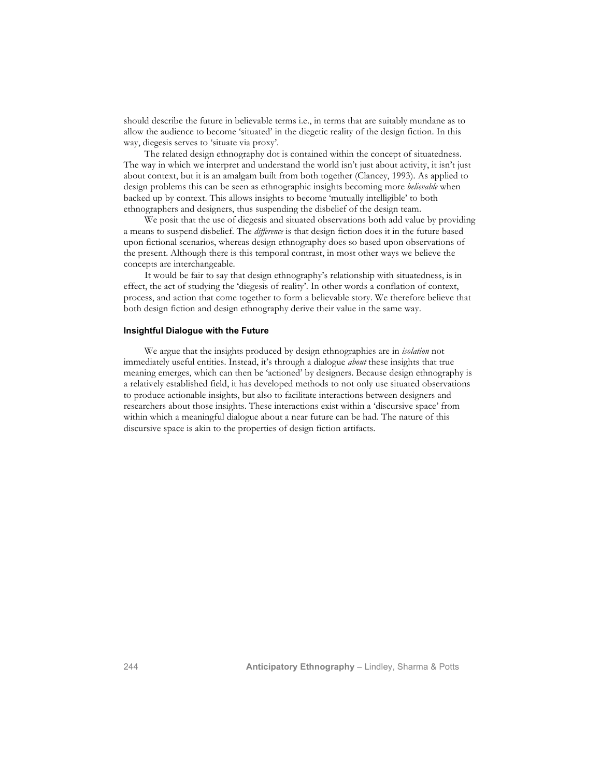should describe the future in believable terms i.e., in terms that are suitably mundane as to allow the audience to become 'situated' in the diegetic reality of the design fiction. In this way, diegesis serves to 'situate via proxy'.

The related design ethnography dot is contained within the concept of situatedness. The way in which we interpret and understand the world isn't just about activity, it isn't just about context, but it is an amalgam built from both together (Clancey, 1993). As applied to design problems this can be seen as ethnographic insights becoming more *believable* when backed up by context. This allows insights to become 'mutually intelligible' to both ethnographers and designers, thus suspending the disbelief of the design team.

We posit that the use of diegesis and situated observations both add value by providing a means to suspend disbelief. The *difference* is that design fiction does it in the future based upon fictional scenarios, whereas design ethnography does so based upon observations of the present. Although there is this temporal contrast, in most other ways we believe the concepts are interchangeable.

It would be fair to say that design ethnography's relationship with situatedness, is in effect, the act of studying the 'diegesis of reality'. In other words a conflation of context, process, and action that come together to form a believable story. We therefore believe that both design fiction and design ethnography derive their value in the same way.

## **Insightful Dialogue with the Future**

We argue that the insights produced by design ethnographies are in *isolation* not immediately useful entities. Instead, it's through a dialogue *about* these insights that true meaning emerges, which can then be 'actioned' by designers. Because design ethnography is a relatively established field, it has developed methods to not only use situated observations to produce actionable insights, but also to facilitate interactions between designers and researchers about those insights. These interactions exist within a 'discursive space' from within which a meaningful dialogue about a near future can be had. The nature of this discursive space is akin to the properties of design fiction artifacts.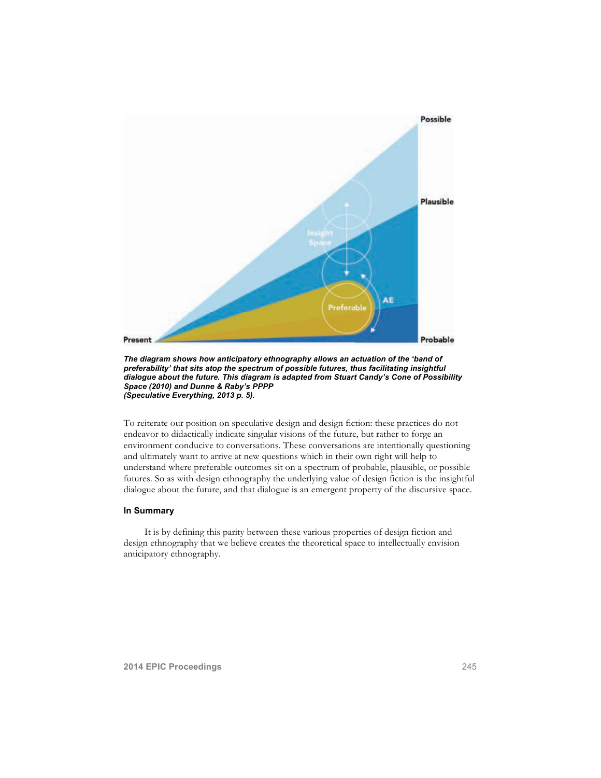

*The diagram shows how anticipatory ethnography allows an actuation of the 'band of preferability' that sits atop the spectrum of possible futures, thus facilitating insightful dialogue about the future. This diagram is adapted from Stuart Candy's Cone of Possibility Space (2010) and Dunne & Raby's PPPP (Speculative Everything, 2013 p. 5).*

To reiterate our position on speculative design and design fiction: these practices do not endeavor to didactically indicate singular visions of the future, but rather to forge an environment conducive to conversations. These conversations are intentionally questioning and ultimately want to arrive at new questions which in their own right will help to understand where preferable outcomes sit on a spectrum of probable, plausible, or possible futures. So as with design ethnography the underlying value of design fiction is the insightful dialogue about the future, and that dialogue is an emergent property of the discursive space.

## **In Summary**

It is by defining this parity between these various properties of design fiction and design ethnography that we believe creates the theoretical space to intellectually envision anticipatory ethnography.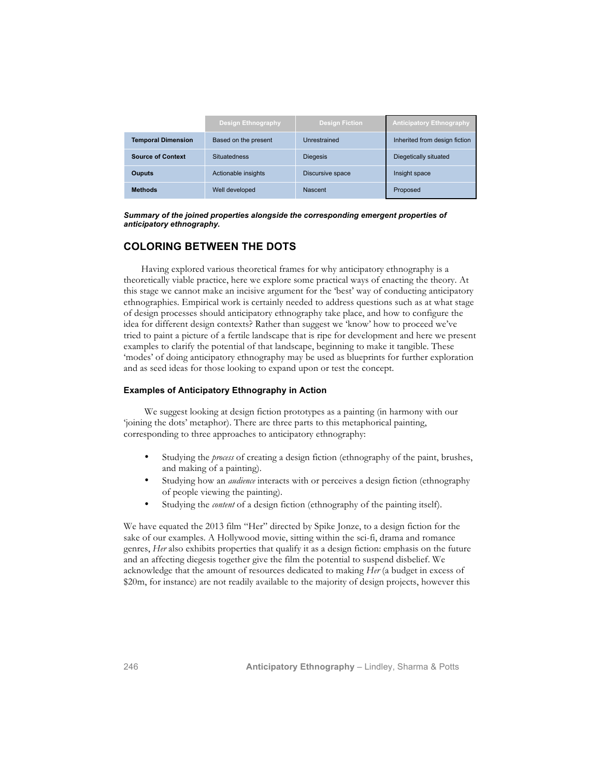|                           | <b>Design Ethnography</b> | <b>Design Fiction</b> | <b>Anticipatory Ethnography</b> |
|---------------------------|---------------------------|-----------------------|---------------------------------|
| <b>Temporal Dimension</b> | Based on the present      | Unrestrained          | Inherited from design fiction   |
| <b>Source of Context</b>  | <b>Situatedness</b>       | <b>Diegesis</b>       | Diegetically situated           |
| <b>Ouputs</b>             | Actionable insights       | Discursive space      | Insight space                   |
| <b>Methods</b>            | Well developed            | Nascent               | Proposed                        |

## *Summary of the joined properties alongside the corresponding emergent properties of anticipatory ethnography.*

# **COLORING BETWEEN THE DOTS**

Having explored various theoretical frames for why anticipatory ethnography is a theoretically viable practice, here we explore some practical ways of enacting the theory. At this stage we cannot make an incisive argument for the 'best' way of conducting anticipatory ethnographies. Empirical work is certainly needed to address questions such as at what stage of design processes should anticipatory ethnography take place, and how to configure the idea for different design contexts? Rather than suggest we 'know' how to proceed we've tried to paint a picture of a fertile landscape that is ripe for development and here we present examples to clarify the potential of that landscape, beginning to make it tangible. These 'modes' of doing anticipatory ethnography may be used as blueprints for further exploration and as seed ideas for those looking to expand upon or test the concept.

## **Examples of Anticipatory Ethnography in Action**

We suggest looking at design fiction prototypes as a painting (in harmony with our 'joining the dots' metaphor). There are three parts to this metaphorical painting, corresponding to three approaches to anticipatory ethnography:

- Studying the *process* of creating a design fiction (ethnography of the paint, brushes, and making of a painting).
- Studying how an *audience* interacts with or perceives a design fiction (ethnography of people viewing the painting).
- Studying the *content* of a design fiction (ethnography of the painting itself).

We have equated the 2013 film "Her" directed by Spike Jonze, to a design fiction for the sake of our examples. A Hollywood movie, sitting within the sci-fi, drama and romance genres, *Her* also exhibits properties that qualify it as a design fiction: emphasis on the future and an affecting diegesis together give the film the potential to suspend disbelief. We acknowledge that the amount of resources dedicated to making *Her* (a budget in excess of \$20m, for instance) are not readily available to the majority of design projects, however this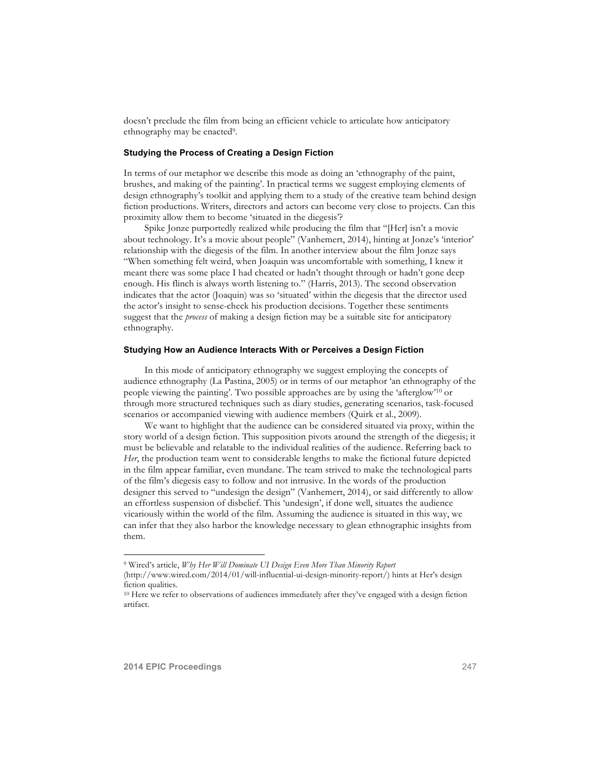doesn't preclude the film from being an efficient vehicle to articulate how anticipatory ethnography may be enacted<sup>9</sup>.

## **Studying the Process of Creating a Design Fiction**

In terms of our metaphor we describe this mode as doing an 'ethnography of the paint, brushes, and making of the painting'. In practical terms we suggest employing elements of design ethnography's toolkit and applying them to a study of the creative team behind design fiction productions. Writers, directors and actors can become very close to projects. Can this proximity allow them to become 'situated in the diegesis'?

Spike Jonze purportedly realized while producing the film that "[Her] isn't a movie about technology. It's a movie about people" (Vanhemert, 2014), hinting at Jonze's 'interior' relationship with the diegesis of the film. In another interview about the film Jonze says "When something felt weird, when Joaquin was uncomfortable with something, I knew it meant there was some place I had cheated or hadn't thought through or hadn't gone deep enough. His flinch is always worth listening to." (Harris, 2013). The second observation indicates that the actor (Joaquin) was so 'situated' within the diegesis that the director used the actor's insight to sense-check his production decisions. Together these sentiments suggest that the *process* of making a design fiction may be a suitable site for anticipatory ethnography.

## **Studying How an Audience Interacts With or Perceives a Design Fiction**

In this mode of anticipatory ethnography we suggest employing the concepts of audience ethnography (La Pastina, 2005) or in terms of our metaphor 'an ethnography of the people viewing the painting'. Two possible approaches are by using the 'afterglow' <sup>10</sup> or through more structured techniques such as diary studies, generating scenarios, task-focused scenarios or accompanied viewing with audience members (Quirk et al., 2009).

We want to highlight that the audience can be considered situated via proxy, within the story world of a design fiction. This supposition pivots around the strength of the diegesis; it must be believable and relatable to the individual realities of the audience. Referring back to *Her*, the production team went to considerable lengths to make the fictional future depicted in the film appear familiar, even mundane. The team strived to make the technological parts of the film's diegesis easy to follow and not intrusive. In the words of the production designer this served to "undesign the design" (Vanhemert, 2014), or said differently to allow an effortless suspension of disbelief. This 'undesign', if done well, situates the audience vicariously within the world of the film. Assuming the audience is situated in this way, we can infer that they also harbor the knowledge necessary to glean ethnographic insights from them.

<sup>9</sup> Wired's article, *Why Her Will Dominate UI Design Even More Than Minority Report* 

<sup>(</sup>http://www.wired.com/2014/01/will-influential-ui-design-minority-report/) hints at Her's design fiction qualities.

<sup>10</sup> Here we refer to observations of audiences immediately after they've engaged with a design fiction artifact.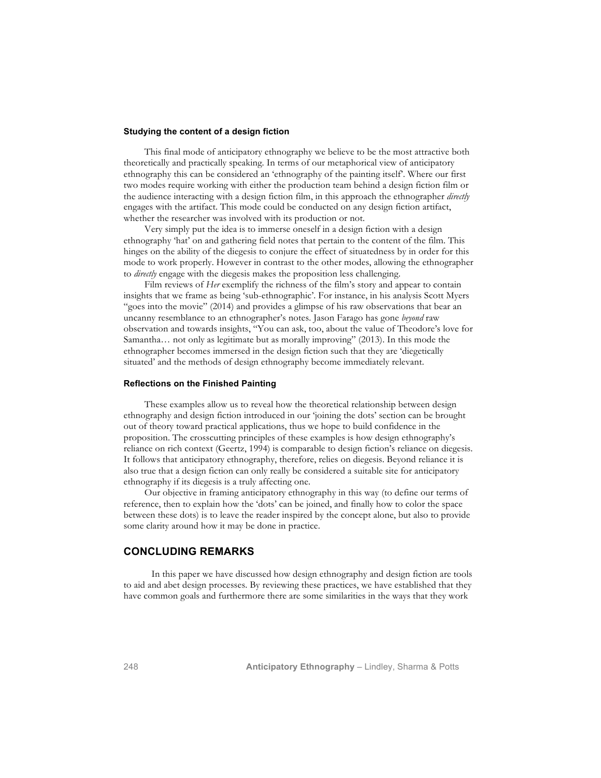## **Studying the content of a design fiction**

This final mode of anticipatory ethnography we believe to be the most attractive both theoretically and practically speaking. In terms of our metaphorical view of anticipatory ethnography this can be considered an 'ethnography of the painting itself'. Where our first two modes require working with either the production team behind a design fiction film or the audience interacting with a design fiction film, in this approach the ethnographer *directly* engages with the artifact. This mode could be conducted on any design fiction artifact, whether the researcher was involved with its production or not.

Very simply put the idea is to immerse oneself in a design fiction with a design ethnography 'hat' on and gathering field notes that pertain to the content of the film. This hinges on the ability of the diegesis to conjure the effect of situatedness by in order for this mode to work properly. However in contrast to the other modes, allowing the ethnographer to *directly* engage with the diegesis makes the proposition less challenging.

Film reviews of *Her* exemplify the richness of the film's story and appear to contain insights that we frame as being 'sub-ethnographic'. For instance, in his analysis Scott Myers "goes into the movie" (2014) and provides a glimpse of his raw observations that bear an uncanny resemblance to an ethnographer's notes. Jason Farago has gone *beyond* raw observation and towards insights, "You can ask, too, about the value of Theodore's love for Samantha… not only as legitimate but as morally improving" (2013). In this mode the ethnographer becomes immersed in the design fiction such that they are 'diegetically situated' and the methods of design ethnography become immediately relevant.

#### **Reflections on the Finished Painting**

These examples allow us to reveal how the theoretical relationship between design ethnography and design fiction introduced in our 'joining the dots' section can be brought out of theory toward practical applications, thus we hope to build confidence in the proposition. The crosscutting principles of these examples is how design ethnography's reliance on rich context (Geertz, 1994) is comparable to design fiction's reliance on diegesis. It follows that anticipatory ethnography, therefore, relies on diegesis. Beyond reliance it is also true that a design fiction can only really be considered a suitable site for anticipatory ethnography if its diegesis is a truly affecting one.

Our objective in framing anticipatory ethnography in this way (to define our terms of reference, then to explain how the 'dots' can be joined, and finally how to color the space between these dots) is to leave the reader inspired by the concept alone, but also to provide some clarity around how it may be done in practice.

## **CONCLUDING REMARKS**

In this paper we have discussed how design ethnography and design fiction are tools to aid and abet design processes. By reviewing these practices, we have established that they have common goals and furthermore there are some similarities in the ways that they work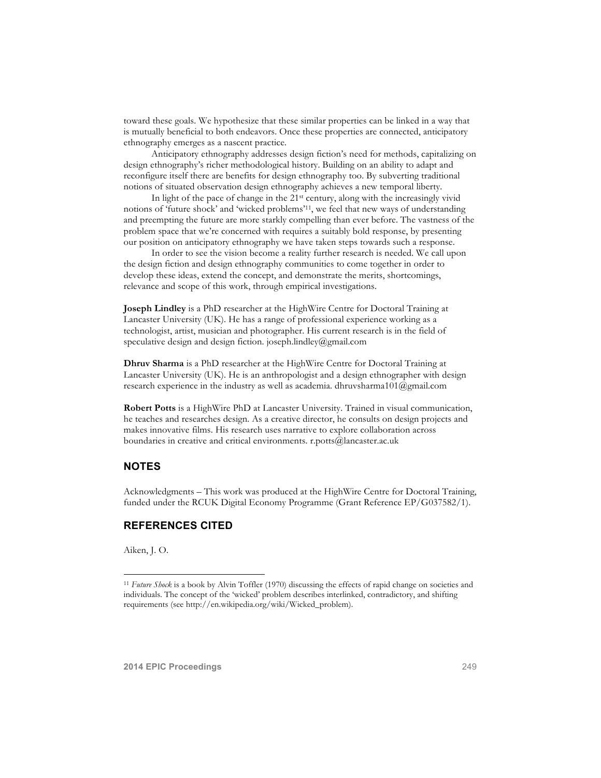toward these goals. We hypothesize that these similar properties can be linked in a way that is mutually beneficial to both endeavors. Once these properties are connected, anticipatory ethnography emerges as a nascent practice.

Anticipatory ethnography addresses design fiction's need for methods, capitalizing on design ethnography's richer methodological history. Building on an ability to adapt and reconfigure itself there are benefits for design ethnography too. By subverting traditional notions of situated observation design ethnography achieves a new temporal liberty.

In light of the pace of change in the 21st century, along with the increasingly vivid notions of 'future shock' and 'wicked problems'11, we feel that new ways of understanding and preempting the future are more starkly compelling than ever before. The vastness of the problem space that we're concerned with requires a suitably bold response, by presenting our position on anticipatory ethnography we have taken steps towards such a response.

In order to see the vision become a reality further research is needed. We call upon the design fiction and design ethnography communities to come together in order to develop these ideas, extend the concept, and demonstrate the merits, shortcomings, relevance and scope of this work, through empirical investigations.

**Joseph Lindley** is a PhD researcher at the HighWire Centre for Doctoral Training at Lancaster University (UK). He has a range of professional experience working as a technologist, artist, musician and photographer. His current research is in the field of speculative design and design fiction. joseph.lindley@gmail.com

**Dhruv Sharma** is a PhD researcher at the HighWire Centre for Doctoral Training at Lancaster University (UK). He is an anthropologist and a design ethnographer with design research experience in the industry as well as academia. dhruvsharma101@gmail.com

**Robert Potts** is a HighWire PhD at Lancaster University. Trained in visual communication, he teaches and researches design. As a creative director, he consults on design projects and makes innovative films. His research uses narrative to explore collaboration across boundaries in creative and critical environments. r.potts@lancaster.ac.uk

# **NOTES**

Acknowledgments – This work was produced at the HighWire Centre for Doctoral Training, funded under the RCUK Digital Economy Programme (Grant Reference EP/G037582/1).

## **REFERENCES CITED**

Aiken, J. O.

<sup>11</sup> *Future Shock* is a book by Alvin Toffler (1970) discussing the effects of rapid change on societies and individuals. The concept of the 'wicked' problem describes interlinked, contradictory, and shifting requirements (see http://en.wikipedia.org/wiki/Wicked\_problem).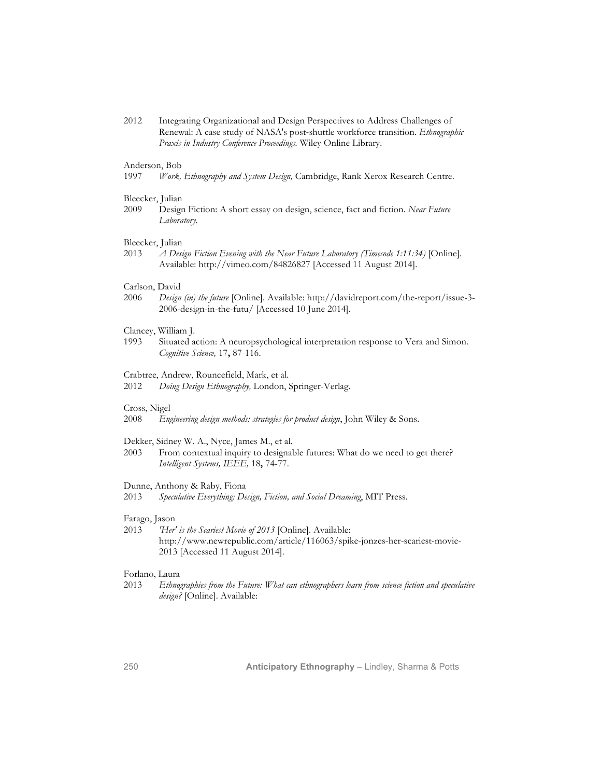2012 Integrating Organizational and Design Perspectives to Address Challenges of Renewal: A case study of NASA's post‐shuttle workforce transition. *Ethnographic Praxis in Industry Conference Proceedings.* Wiley Online Library.

#### Anderson, Bob

1997 *Work, Ethnography and System Design,* Cambridge, Rank Xerox Research Centre.

## Bleecker, Julian

2009 Design Fiction: A short essay on design, science, fact and fiction. *Near Future Laboratory.*

#### Bleecker, Julian

2013 *A Design Fiction Evening with the Near Future Laboratory (Timecode 1:11:34)* [Online]. Available: http://vimeo.com/84826827 [Accessed 11 August 2014].

#### Carlson, David

2006 *Design (in) the future* [Online]. Available: http://davidreport.com/the-report/issue-3- 2006-design-in-the-futu/ [Accessed 10 June 2014].

#### Clancey, William J.

1993 Situated action: A neuropsychological interpretation response to Vera and Simon. *Cognitive Science,* 17**,** 87-116.

#### Crabtree, Andrew, Rouncefield, Mark, et al.

2012 *Doing Design Ethnography,* London, Springer-Verlag.

#### Cross, Nigel

- 2008 *Engineering design methods: strategies for product design*, John Wiley & Sons.
- Dekker, Sidney W. A., Nyce, James M., et al.
- 2003 From contextual inquiry to designable futures: What do we need to get there? *Intelligent Systems, IEEE,* 18**,** 74-77.

#### Dunne, Anthony & Raby, Fiona

2013 *Speculative Everything: Design, Fiction, and Social Dreaming*, MIT Press.

## Farago, Jason

2013 *'Her' is the Scariest Movie of 2013* [Online]. Available: http://www.newrepublic.com/article/116063/spike-jonzes-her-scariest-movie-2013 [Accessed 11 August 2014].

## Forlano, Laura

2013 *Ethnographies from the Future: What can ethnographers learn from science fiction and speculative design?* [Online]. Available: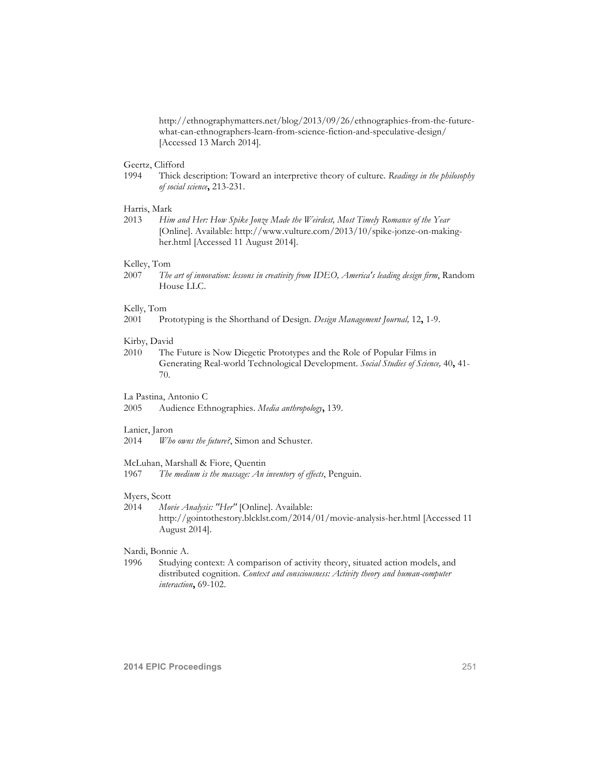http://ethnographymatters.net/blog/2013/09/26/ethnographies-from-the-futurewhat-can-ethnographers-learn-from-science-fiction-and-speculative-design/ [Accessed 13 March 2014].

## Geertz, Clifford

1994 Thick description: Toward an interpretive theory of culture. *Readings in the philosophy of social science***,** 213-231.

## Harris, Mark

2013 *Him and Her: How Spike Jonze Made the Weirdest, Most Timely Romance of the Year*  [Online]. Available: http://www.vulture.com/2013/10/spike-jonze-on-makingher.html [Accessed 11 August 2014].

## Kelley, Tom

2007 *The art of innovation: lessons in creativity from IDEO, America's leading design firm*, Random House LLC.

## Kelly, Tom

2001 Prototyping is the Shorthand of Design. *Design Management Journal,* 12**,** 1-9.

## Kirby, David

2010 The Future is Now Diegetic Prototypes and the Role of Popular Films in Generating Real-world Technological Development. *Social Studies of Science,* 40**,** 41- 70.

La Pastina, Antonio C

2005 Audience Ethnographies. *Media anthropology***,** 139.

## Lanier, Jaron

2014 *Who owns the future?*, Simon and Schuster.

## McLuhan, Marshall & Fiore, Quentin

1967 *The medium is the massage: An inventory of effects*, Penguin.

## Myers, Scott

2014 *Movie Analysis: "Her"* [Online]. Available: http://gointothestory.blcklst.com/2014/01/movie-analysis-her.html [Accessed 11 August 2014].

## Nardi, Bonnie A.

1996 Studying context: A comparison of activity theory, situated action models, and distributed cognition. *Context and consciousness: Activity theory and human-computer interaction***,** 69-102.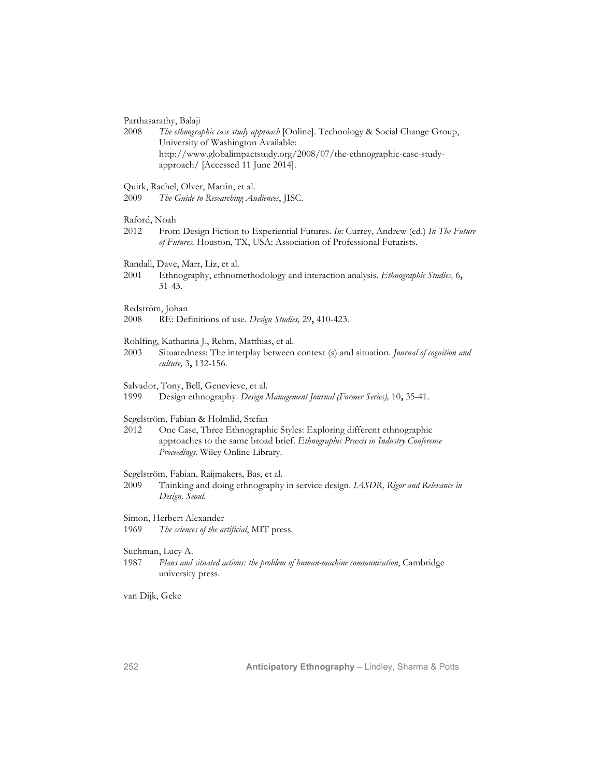Parthasarathy, Balaji

- 2008 *The ethnographic case study approach* [Online]. Technology & Social Change Group, University of Washington Available: http://www.globalimpactstudy.org/2008/07/the-ethnographic-case-studyapproach/ [Accessed 11 June 2014].
- Quirk, Rachel, Olver, Martin, et al.
- 2009 *The Guide to Researching Audiences*, JISC.

Raford, Noah

- 2012 From Design Fiction to Experiential Futures. *In:* Currey, Andrew (ed.) *In The Future of Futures.* Houston, TX, USA: Association of Professional Futurists.
- Randall, Dave, Marr, Liz, et al.
- 2001 Ethnography, ethnomethodology and interaction analysis. *Ethnographic Studies,* 6**,** 31-43.

Redström, Johan

- 2008 RE: Definitions of use. *Design Studies,* 29**,** 410-423.
- Rohlfing, Katharina J., Rehm, Matthias, et al.
- 2003 Situatedness: The interplay between context (s) and situation. *Journal of cognition and culture,* 3**,** 132-156.

Salvador, Tony, Bell, Genevieve, et al.

1999 Design ethnography. *Design Management Journal (Former Series),* 10**,** 35-41.

## Segelström, Fabian & Holmlid, Stefan

2012 One Case, Three Ethnographic Styles: Exploring different ethnographic approaches to the same broad brief. *Ethnographic Praxis in Industry Conference Proceedings.* Wiley Online Library.

#### Segelström, Fabian, Raijmakers, Bas, et al.

2009 Thinking and doing ethnography in service design. *IASDR, Rigor and Relevance in Design. Seoul*.

Simon, Herbert Alexander

1969 *The sciences of the artificial*, MIT press.

#### Suchman, Lucy A.

1987 *Plans and situated actions: the problem of human-machine communication*, Cambridge university press.

van Dijk, Geke